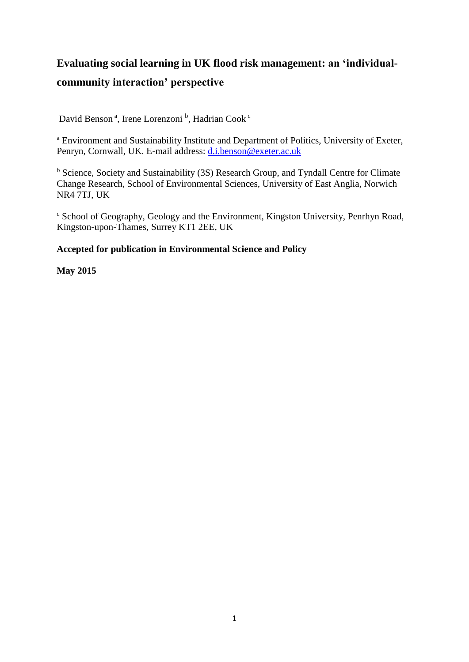# **Evaluating social learning in UK flood risk management: an 'individualcommunity interaction' perspective**

David Benson<sup>a</sup>, Irene Lorenzoni<sup>b</sup>, Hadrian Cook<sup>c</sup>

<sup>a</sup> Environment and Sustainability Institute and Department of Politics, University of Exeter, Penryn, Cornwall, UK. E-mail address: [d.i.benson@exeter.ac.uk](mailto:d.i.benson@exeter.ac.uk)

<sup>b</sup> Science, Society and Sustainability (3S) Research Group, and Tyndall Centre for Climate Change Research, School of Environmental Sciences, University of East Anglia, Norwich NR4 7TJ, UK

<sup>c</sup> School of Geography, Geology and the Environment, Kingston University, Penrhyn Road, Kingston-upon-Thames, Surrey KT1 2EE, UK

## **Accepted for publication in Environmental Science and Policy**

## **May 2015**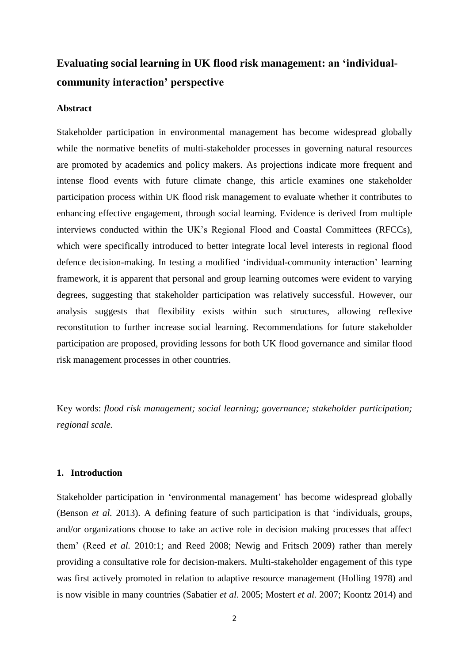## **Evaluating social learning in UK flood risk management: an 'individualcommunity interaction' perspective**

#### **Abstract**

Stakeholder participation in environmental management has become widespread globally while the normative benefits of multi-stakeholder processes in governing natural resources are promoted by academics and policy makers. As projections indicate more frequent and intense flood events with future climate change, this article examines one stakeholder participation process within UK flood risk management to evaluate whether it contributes to enhancing effective engagement, through social learning. Evidence is derived from multiple interviews conducted within the UK's Regional Flood and Coastal Committees (RFCCs), which were specifically introduced to better integrate local level interests in regional flood defence decision-making. In testing a modified 'individual-community interaction' learning framework, it is apparent that personal and group learning outcomes were evident to varying degrees, suggesting that stakeholder participation was relatively successful. However, our analysis suggests that flexibility exists within such structures, allowing reflexive reconstitution to further increase social learning. Recommendations for future stakeholder participation are proposed, providing lessons for both UK flood governance and similar flood risk management processes in other countries.

Key words: *flood risk management; social learning; governance; stakeholder participation; regional scale.*

## **1. Introduction**

Stakeholder participation in 'environmental management' has become widespread globally (Benson *et al.* 2013). A defining feature of such participation is that 'individuals, groups, and/or organizations choose to take an active role in decision making processes that affect them' (Reed *et al.* 2010:1; and Reed 2008; Newig and Fritsch 2009) rather than merely providing a consultative role for decision-makers. Multi-stakeholder engagement of this type was first actively promoted in relation to adaptive resource management (Holling 1978) and is now visible in many countries (Sabatier *et al*. 2005; Mostert *et al.* 2007; Koontz 2014) and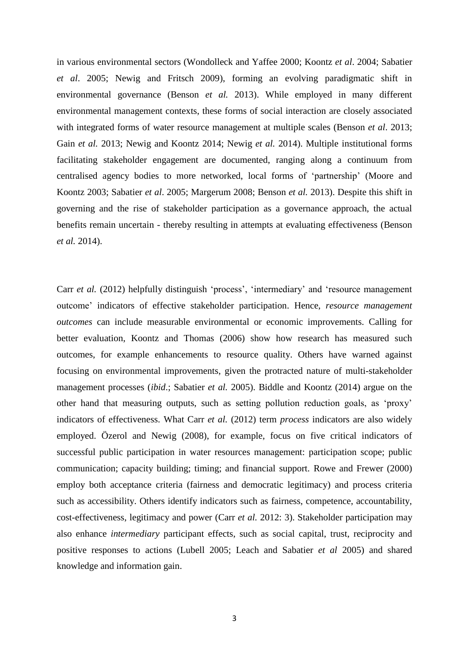in various environmental sectors (Wondolleck and Yaffee 2000; Koontz *et al*. 2004; Sabatier *et al*. 2005; Newig and Fritsch 2009), forming an evolving paradigmatic shift in environmental governance (Benson *et al.* 2013). While employed in many different environmental management contexts, these forms of social interaction are closely associated with integrated forms of water resource management at multiple scales (Benson *et al*. 2013; Gain *et al.* 2013; Newig and Koontz 2014; Newig *et al.* 2014). Multiple institutional forms facilitating stakeholder engagement are documented, ranging along a continuum from centralised agency bodies to more networked, local forms of 'partnership' (Moore and Koontz 2003; Sabatier *et al*. 2005; Margerum 2008; Benson *et al.* 2013). Despite this shift in governing and the rise of stakeholder participation as a governance approach, the actual benefits remain uncertain - thereby resulting in attempts at evaluating effectiveness (Benson *et al.* 2014).

Carr *et al.* (2012) helpfully distinguish 'process', 'intermediary' and 'resource management outcome' indicators of effective stakeholder participation. Hence, *resource management outcomes* can include measurable environmental or economic improvements. Calling for better evaluation, Koontz and Thomas (2006) show how research has measured such outcomes, for example enhancements to resource quality. Others have warned against focusing on environmental improvements, given the protracted nature of multi-stakeholder management processes (*ibid*.; Sabatier *et al.* 2005). Biddle and Koontz (2014) argue on the other hand that measuring outputs, such as setting pollution reduction goals, as 'proxy' indicators of effectiveness. What Carr *et al.* (2012) term *process* indicators are also widely employed. Özerol and Newig (2008), for example, focus on five critical indicators of successful public participation in water resources management: participation scope; public communication; capacity building; timing; and financial support. Rowe and Frewer (2000) employ both acceptance criteria (fairness and democratic legitimacy) and process criteria such as accessibility. Others identify indicators such as fairness, competence, accountability, cost-effectiveness, legitimacy and power (Carr *et al.* 2012: 3). Stakeholder participation may also enhance *intermediary* participant effects, such as social capital, trust, reciprocity and positive responses to actions (Lubell 2005; Leach and Sabatier *et al* 2005) and shared knowledge and information gain.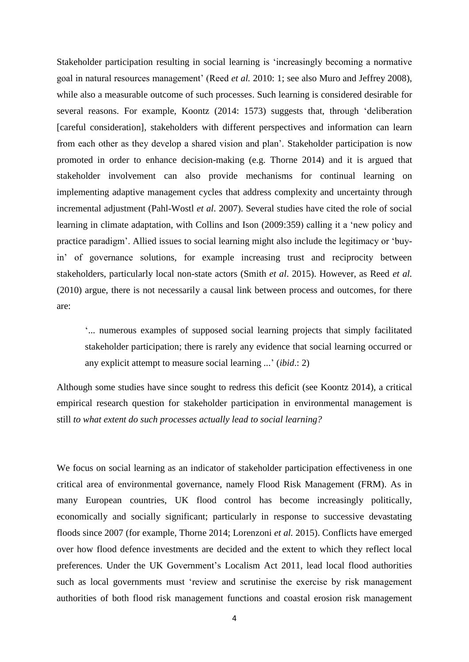Stakeholder participation resulting in social learning is 'increasingly becoming a normative goal in natural resources management' (Reed *et al.* 2010: 1; see also Muro and Jeffrey 2008), while also a measurable outcome of such processes. Such learning is considered desirable for several reasons. For example, Koontz (2014: 1573) suggests that, through 'deliberation [careful consideration], stakeholders with different perspectives and information can learn from each other as they develop a shared vision and plan'. Stakeholder participation is now promoted in order to enhance decision-making (e.g. Thorne 2014) and it is argued that stakeholder involvement can also provide mechanisms for continual learning on implementing adaptive management cycles that address complexity and uncertainty through incremental adjustment (Pahl-Wostl *et al*. 2007). Several studies have cited the role of social learning in climate adaptation, with Collins and Ison (2009:359) calling it a 'new policy and practice paradigm'. Allied issues to social learning might also include the legitimacy or 'buyin' of governance solutions, for example increasing trust and reciprocity between stakeholders, particularly local non-state actors (Smith *et al*. 2015). However, as Reed *et al.* (2010) argue, there is not necessarily a causal link between process and outcomes, for there are:

'... numerous examples of supposed social learning projects that simply facilitated stakeholder participation; there is rarely any evidence that social learning occurred or any explicit attempt to measure social learning ...' (*ibid*.: 2)

Although some studies have since sought to redress this deficit (see Koontz 2014), a critical empirical research question for stakeholder participation in environmental management is still *to what extent do such processes actually lead to social learning?*

We focus on social learning as an indicator of stakeholder participation effectiveness in one critical area of environmental governance, namely Flood Risk Management (FRM). As in many European countries, UK flood control has become increasingly politically, economically and socially significant; particularly in response to successive devastating floods since 2007 (for example, Thorne 2014; Lorenzoni *et al.* 2015). Conflicts have emerged over how flood defence investments are decided and the extent to which they reflect local preferences. Under the UK Government's Localism Act 2011, lead local flood authorities such as local governments must 'review and scrutinise the exercise by risk management authorities of both flood risk management functions and coastal erosion risk management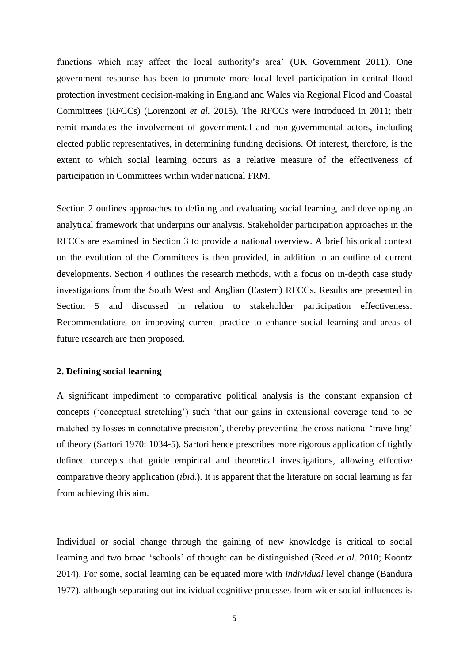functions which may affect the local authority's area' (UK Government 2011). One government response has been to promote more local level participation in central flood protection investment decision-making in England and Wales via Regional Flood and Coastal Committees (RFCCs) (Lorenzoni *et al.* 2015). The RFCCs were introduced in 2011; their remit mandates the involvement of governmental and non-governmental actors, including elected public representatives, in determining funding decisions. Of interest, therefore, is the extent to which social learning occurs as a relative measure of the effectiveness of participation in Committees within wider national FRM.

Section 2 outlines approaches to defining and evaluating social learning, and developing an analytical framework that underpins our analysis. Stakeholder participation approaches in the RFCCs are examined in Section 3 to provide a national overview. A brief historical context on the evolution of the Committees is then provided, in addition to an outline of current developments. Section 4 outlines the research methods, with a focus on in-depth case study investigations from the South West and Anglian (Eastern) RFCCs. Results are presented in Section 5 and discussed in relation to stakeholder participation effectiveness. Recommendations on improving current practice to enhance social learning and areas of future research are then proposed.

#### **2. Defining social learning**

A significant impediment to comparative political analysis is the constant expansion of concepts ('conceptual stretching') such 'that our gains in extensional coverage tend to be matched by losses in connotative precision', thereby preventing the cross-national 'travelling' of theory (Sartori 1970: 1034-5). Sartori hence prescribes more rigorous application of tightly defined concepts that guide empirical and theoretical investigations, allowing effective comparative theory application (*ibid*.). It is apparent that the literature on social learning is far from achieving this aim.

Individual or social change through the gaining of new knowledge is critical to social learning and two broad 'schools' of thought can be distinguished (Reed *et al*. 2010; Koontz 2014). For some, social learning can be equated more with *individual* level change (Bandura 1977), although separating out individual cognitive processes from wider social influences is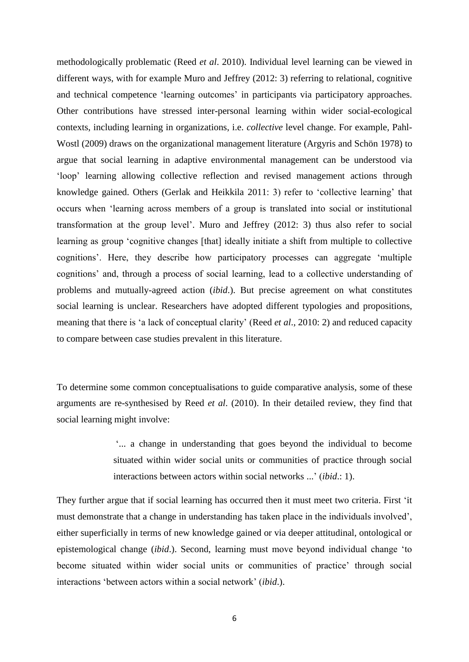methodologically problematic (Reed *et al*. 2010). Individual level learning can be viewed in different ways, with for example Muro and Jeffrey (2012: 3) referring to relational, cognitive and technical competence 'learning outcomes' in participants via participatory approaches. Other contributions have stressed inter-personal learning within wider social-ecological contexts, including learning in organizations, i.e. *collective* level change. For example, Pahl-Wostl (2009) draws on the organizational management literature (Argyris and Schön 1978) to argue that social learning in adaptive environmental management can be understood via 'loop' learning allowing collective reflection and revised management actions through knowledge gained. Others (Gerlak and Heikkila 2011: 3) refer to 'collective learning' that occurs when 'learning across members of a group is translated into social or institutional transformation at the group level'. Muro and Jeffrey (2012: 3) thus also refer to social learning as group 'cognitive changes [that] ideally initiate a shift from multiple to collective cognitions'. Here, they describe how participatory processes can aggregate 'multiple cognitions' and, through a process of social learning, lead to a collective understanding of problems and mutually-agreed action (*ibid*.). But precise agreement on what constitutes social learning is unclear. Researchers have adopted different typologies and propositions, meaning that there is 'a lack of conceptual clarity' (Reed *et al*., 2010: 2) and reduced capacity to compare between case studies prevalent in this literature.

To determine some common conceptualisations to guide comparative analysis, some of these arguments are re-synthesised by Reed *et al*. (2010). In their detailed review, they find that social learning might involve:

> '... a change in understanding that goes beyond the individual to become situated within wider social units or communities of practice through social interactions between actors within social networks ...' (*ibid*.: 1).

They further argue that if social learning has occurred then it must meet two criteria. First 'it must demonstrate that a change in understanding has taken place in the individuals involved', either superficially in terms of new knowledge gained or via deeper attitudinal, ontological or epistemological change (*ibid*.). Second, learning must move beyond individual change 'to become situated within wider social units or communities of practice' through social interactions 'between actors within a social network' (*ibid*.).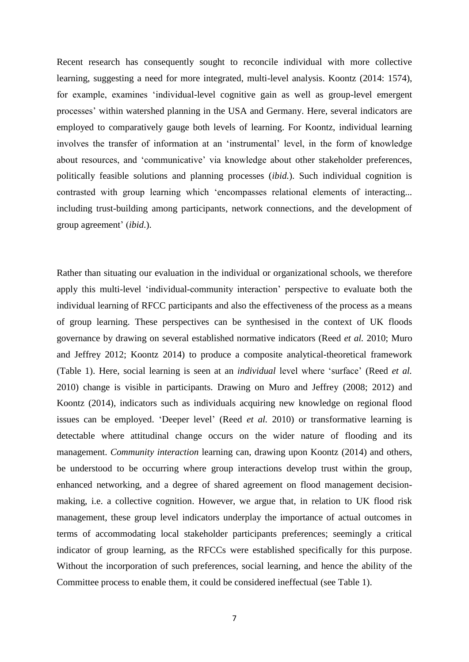Recent research has consequently sought to reconcile individual with more collective learning, suggesting a need for more integrated, multi-level analysis. Koontz (2014: 1574), for example, examines 'individual-level cognitive gain as well as group-level emergent processes' within watershed planning in the USA and Germany. Here, several indicators are employed to comparatively gauge both levels of learning. For Koontz, individual learning involves the transfer of information at an 'instrumental' level, in the form of knowledge about resources, and 'communicative' via knowledge about other stakeholder preferences, politically feasible solutions and planning processes (*ibid.*). Such individual cognition is contrasted with group learning which 'encompasses relational elements of interacting... including trust-building among participants, network connections, and the development of group agreement' (*ibid*.).

Rather than situating our evaluation in the individual or organizational schools, we therefore apply this multi-level 'individual-community interaction' perspective to evaluate both the individual learning of RFCC participants and also the effectiveness of the process as a means of group learning. These perspectives can be synthesised in the context of UK floods governance by drawing on several established normative indicators (Reed *et al.* 2010; Muro and Jeffrey 2012; Koontz 2014) to produce a composite analytical-theoretical framework (Table 1). Here, social learning is seen at an *individual* level where 'surface' (Reed *et al.* 2010) change is visible in participants. Drawing on Muro and Jeffrey (2008; 2012) and Koontz (2014), indicators such as individuals acquiring new knowledge on regional flood issues can be employed. 'Deeper level' (Reed *et al.* 2010) or transformative learning is detectable where attitudinal change occurs on the wider nature of flooding and its management. *Community interaction* learning can, drawing upon Koontz (2014) and others, be understood to be occurring where group interactions develop trust within the group, enhanced networking, and a degree of shared agreement on flood management decisionmaking, i.e. a collective cognition. However, we argue that, in relation to UK flood risk management, these group level indicators underplay the importance of actual outcomes in terms of accommodating local stakeholder participants preferences; seemingly a critical indicator of group learning, as the RFCCs were established specifically for this purpose. Without the incorporation of such preferences, social learning, and hence the ability of the Committee process to enable them, it could be considered ineffectual (see Table 1).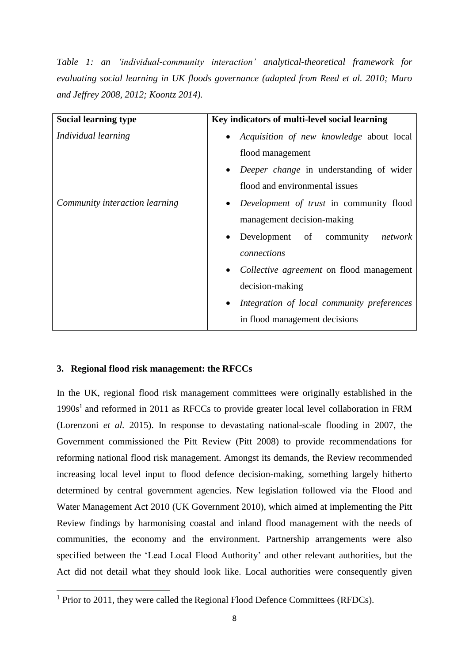*Table 1: an 'individual-community interaction' analytical-theoretical framework for evaluating social learning in UK floods governance (adapted from Reed et al. 2010; Muro and Jeffrey 2008, 2012; Koontz 2014).*

| <b>Social learning type</b>    | Key indicators of multi-level social learning                |
|--------------------------------|--------------------------------------------------------------|
| Individual learning            | <i>Acquisition of new knowledge about local</i><br>$\bullet$ |
|                                | flood management                                             |
|                                | Deeper change in understanding of wider<br>$\bullet$         |
|                                | flood and environmental issues                               |
| Community interaction learning | Development of trust in community flood<br>$\bullet$         |
|                                | management decision-making                                   |
|                                | Development of community<br>network                          |
|                                | connections                                                  |
|                                | Collective agreement on flood management                     |
|                                | decision-making                                              |
|                                | Integration of local community preferences<br>$\bullet$      |
|                                | in flood management decisions                                |

## **3. Regional flood risk management: the RFCCs**

**.** 

In the UK, regional flood risk management committees were originally established in the 1990s<sup>1</sup> and reformed in 2011 as RFCCs to provide greater local level collaboration in FRM (Lorenzoni *et al.* 2015). In response to devastating national-scale flooding in 2007, the Government commissioned the Pitt Review (Pitt 2008) to provide recommendations for reforming national flood risk management. Amongst its demands, the Review recommended increasing local level input to flood defence decision-making, something largely hitherto determined by central government agencies. New legislation followed via the Flood and Water Management Act 2010 (UK Government 2010), which aimed at implementing the Pitt Review findings by harmonising coastal and inland flood management with the needs of communities, the economy and the environment. Partnership arrangements were also specified between the 'Lead Local Flood Authority' and other relevant authorities, but the Act did not detail what they should look like. Local authorities were consequently given

 $1$  Prior to 2011, they were called the Regional Flood Defence Committees (RFDCs).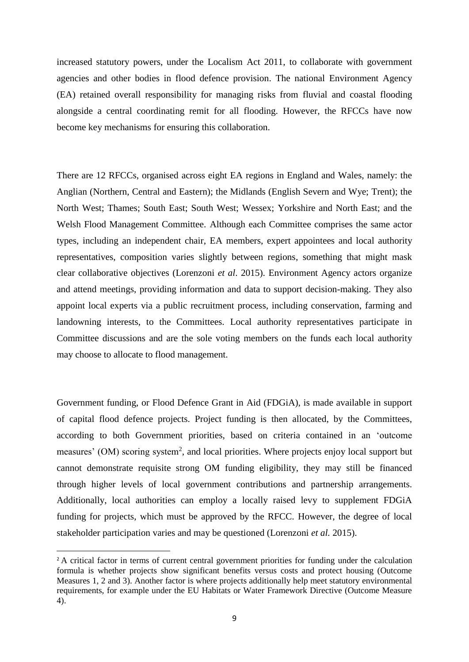increased statutory powers, under the Localism Act 2011, to collaborate with government agencies and other bodies in flood defence provision. The national Environment Agency (EA) retained overall responsibility for managing risks from fluvial and coastal flooding alongside a central coordinating remit for all flooding. However, the RFCCs have now become key mechanisms for ensuring this collaboration.

There are 12 RFCCs, organised across eight EA regions in England and Wales, namely: the Anglian (Northern, Central and Eastern); the Midlands (English Severn and Wye; Trent); the North West; Thames; South East; South West; Wessex; Yorkshire and North East; and the Welsh Flood Management Committee. Although each Committee comprises the same actor types, including an independent chair, EA members, expert appointees and local authority representatives, composition varies slightly between regions, something that might mask clear collaborative objectives (Lorenzoni *et al*. 2015). Environment Agency actors organize and attend meetings, providing information and data to support decision-making. They also appoint local experts via a public recruitment process, including conservation, farming and landowning interests, to the Committees. Local authority representatives participate in Committee discussions and are the sole voting members on the funds each local authority may choose to allocate to flood management.

Government funding, or Flood Defence Grant in Aid (FDGiA), is made available in support of capital flood defence projects. Project funding is then allocated, by the Committees, according to both Government priorities, based on criteria contained in an 'outcome measures' (OM) scoring system<sup>2</sup>, and local priorities. Where projects enjoy local support but cannot demonstrate requisite strong OM funding eligibility, they may still be financed through higher levels of local government contributions and partnership arrangements. Additionally, local authorities can employ a locally raised levy to supplement FDGiA funding for projects, which must be approved by the RFCC. However, the degree of local stakeholder participation varies and may be questioned (Lorenzoni *et al.* 2015).

**.** 

<sup>&</sup>lt;sup>2</sup> A critical factor in terms of current central government priorities for funding under the calculation formula is whether projects show significant benefits versus costs and protect housing (Outcome Measures 1, 2 and 3). Another factor is where projects additionally help meet statutory environmental requirements, for example under the EU Habitats or Water Framework Directive (Outcome Measure 4).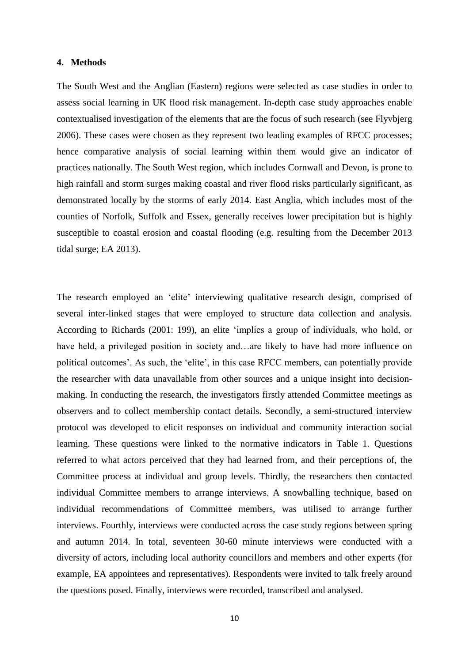#### **4. Methods**

The South West and the Anglian (Eastern) regions were selected as case studies in order to assess social learning in UK flood risk management. In-depth case study approaches enable contextualised investigation of the elements that are the focus of such research (see Flyvbjerg 2006). These cases were chosen as they represent two leading examples of RFCC processes; hence comparative analysis of social learning within them would give an indicator of practices nationally. The South West region, which includes Cornwall and Devon, is prone to high rainfall and storm surges making coastal and river flood risks particularly significant, as demonstrated locally by the storms of early 2014. East Anglia, which includes most of the counties of Norfolk, Suffolk and Essex, generally receives lower precipitation but is highly susceptible to coastal erosion and coastal flooding (e.g. resulting from the December 2013 tidal surge; EA 2013).

The research employed an 'elite' interviewing qualitative research design, comprised of several inter-linked stages that were employed to structure data collection and analysis. According to Richards (2001: 199), an elite 'implies a group of individuals, who hold, or have held, a privileged position in society and…are likely to have had more influence on political outcomes'. As such, the 'elite', in this case RFCC members, can potentially provide the researcher with data unavailable from other sources and a unique insight into decisionmaking. In conducting the research, the investigators firstly attended Committee meetings as observers and to collect membership contact details. Secondly, a semi-structured interview protocol was developed to elicit responses on individual and community interaction social learning. These questions were linked to the normative indicators in Table 1. Questions referred to what actors perceived that they had learned from, and their perceptions of, the Committee process at individual and group levels. Thirdly, the researchers then contacted individual Committee members to arrange interviews. A snowballing technique, based on individual recommendations of Committee members, was utilised to arrange further interviews. Fourthly, interviews were conducted across the case study regions between spring and autumn 2014. In total, seventeen 30-60 minute interviews were conducted with a diversity of actors, including local authority councillors and members and other experts (for example, EA appointees and representatives). Respondents were invited to talk freely around the questions posed. Finally, interviews were recorded, transcribed and analysed.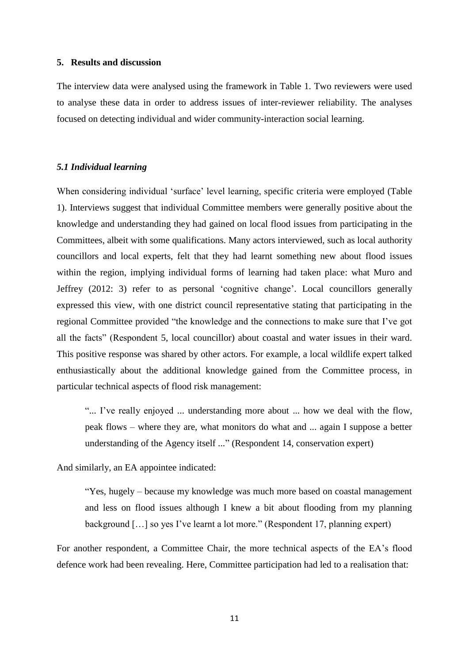#### **5. Results and discussion**

The interview data were analysed using the framework in Table 1. Two reviewers were used to analyse these data in order to address issues of inter-reviewer reliability. The analyses focused on detecting individual and wider community-interaction social learning.

#### *5.1 Individual learning*

When considering individual 'surface' level learning, specific criteria were employed (Table 1). Interviews suggest that individual Committee members were generally positive about the knowledge and understanding they had gained on local flood issues from participating in the Committees, albeit with some qualifications. Many actors interviewed, such as local authority councillors and local experts, felt that they had learnt something new about flood issues within the region, implying individual forms of learning had taken place: what Muro and Jeffrey (2012: 3) refer to as personal 'cognitive change'. Local councillors generally expressed this view, with one district council representative stating that participating in the regional Committee provided "the knowledge and the connections to make sure that I've got all the facts" (Respondent 5, local councillor) about coastal and water issues in their ward. This positive response was shared by other actors. For example, a local wildlife expert talked enthusiastically about the additional knowledge gained from the Committee process, in particular technical aspects of flood risk management:

"... I've really enjoyed ... understanding more about ... how we deal with the flow, peak flows – where they are, what monitors do what and ... again I suppose a better understanding of the Agency itself ..." (Respondent 14, conservation expert)

And similarly, an EA appointee indicated:

"Yes, hugely – because my knowledge was much more based on coastal management and less on flood issues although I knew a bit about flooding from my planning background […] so yes I've learnt a lot more." (Respondent 17, planning expert)

For another respondent, a Committee Chair, the more technical aspects of the EA's flood defence work had been revealing. Here, Committee participation had led to a realisation that: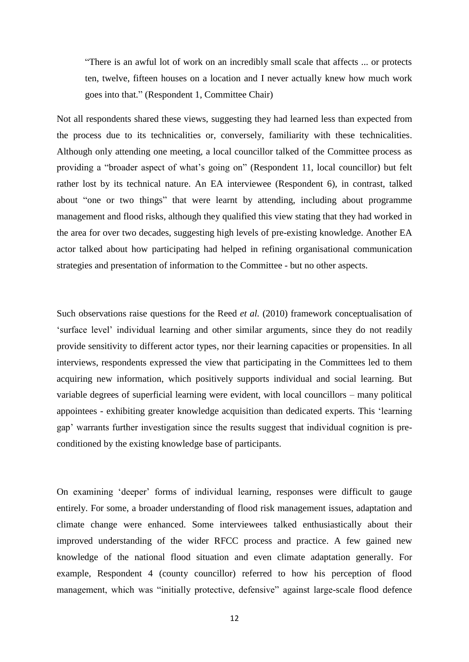"There is an awful lot of work on an incredibly small scale that affects ... or protects ten, twelve, fifteen houses on a location and I never actually knew how much work goes into that." (Respondent 1, Committee Chair)

Not all respondents shared these views, suggesting they had learned less than expected from the process due to its technicalities or, conversely, familiarity with these technicalities. Although only attending one meeting, a local councillor talked of the Committee process as providing a "broader aspect of what's going on" (Respondent 11, local councillor) but felt rather lost by its technical nature. An EA interviewee (Respondent 6), in contrast, talked about "one or two things" that were learnt by attending, including about programme management and flood risks, although they qualified this view stating that they had worked in the area for over two decades, suggesting high levels of pre-existing knowledge. Another EA actor talked about how participating had helped in refining organisational communication strategies and presentation of information to the Committee - but no other aspects.

Such observations raise questions for the Reed *et al.* (2010) framework conceptualisation of 'surface level' individual learning and other similar arguments, since they do not readily provide sensitivity to different actor types, nor their learning capacities or propensities. In all interviews, respondents expressed the view that participating in the Committees led to them acquiring new information, which positively supports individual and social learning. But variable degrees of superficial learning were evident, with local councillors – many political appointees - exhibiting greater knowledge acquisition than dedicated experts. This 'learning gap' warrants further investigation since the results suggest that individual cognition is preconditioned by the existing knowledge base of participants.

On examining 'deeper' forms of individual learning, responses were difficult to gauge entirely. For some, a broader understanding of flood risk management issues, adaptation and climate change were enhanced. Some interviewees talked enthusiastically about their improved understanding of the wider RFCC process and practice. A few gained new knowledge of the national flood situation and even climate adaptation generally. For example, Respondent 4 (county councillor) referred to how his perception of flood management, which was "initially protective, defensive" against large-scale flood defence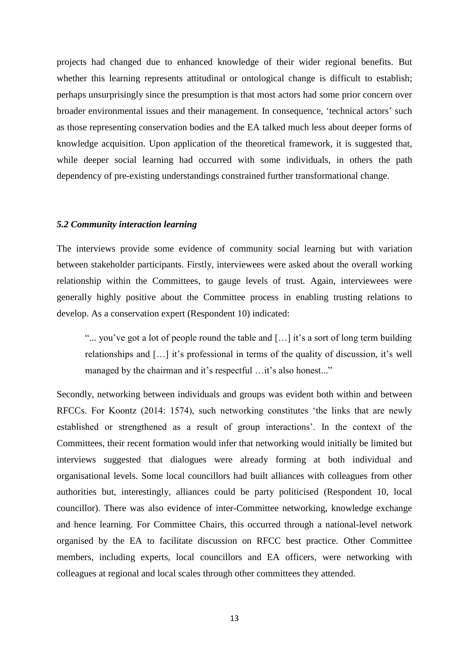projects had changed due to enhanced knowledge of their wider regional benefits. But whether this learning represents attitudinal or ontological change is difficult to establish; perhaps unsurprisingly since the presumption is that most actors had some prior concern over broader environmental issues and their management. In consequence, 'technical actors' such as those representing conservation bodies and the EA talked much less about deeper forms of knowledge acquisition. Upon application of the theoretical framework, it is suggested that, while deeper social learning had occurred with some individuals, in others the path dependency of pre-existing understandings constrained further transformational change.

#### *5.2 Community interaction learning*

The interviews provide some evidence of community social learning but with variation between stakeholder participants. Firstly, interviewees were asked about the overall working relationship within the Committees, to gauge levels of trust. Again, interviewees were generally highly positive about the Committee process in enabling trusting relations to develop. As a conservation expert (Respondent 10) indicated:

"... you've got a lot of people round the table and […] it's a sort of long term building relationships and […] it's professional in terms of the quality of discussion, it's well managed by the chairman and it's respectful ... it's also honest..."

Secondly, networking between individuals and groups was evident both within and between RFCCs. For Koontz (2014: 1574), such networking constitutes 'the links that are newly established or strengthened as a result of group interactions'. In the context of the Committees, their recent formation would infer that networking would initially be limited but interviews suggested that dialogues were already forming at both individual and organisational levels. Some local councillors had built alliances with colleagues from other authorities but, interestingly, alliances could be party politicised (Respondent 10, local councillor). There was also evidence of inter-Committee networking, knowledge exchange and hence learning. For Committee Chairs, this occurred through a national-level network organised by the EA to facilitate discussion on RFCC best practice. Other Committee members, including experts, local councillors and EA officers, were networking with colleagues at regional and local scales through other committees they attended.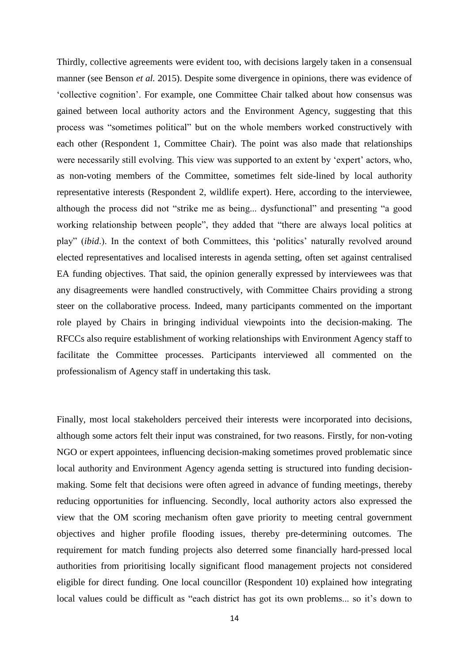Thirdly, collective agreements were evident too, with decisions largely taken in a consensual manner (see Benson *et al.* 2015). Despite some divergence in opinions, there was evidence of 'collective cognition'. For example, one Committee Chair talked about how consensus was gained between local authority actors and the Environment Agency, suggesting that this process was "sometimes political" but on the whole members worked constructively with each other (Respondent 1, Committee Chair). The point was also made that relationships were necessarily still evolving. This view was supported to an extent by 'expert' actors, who, as non-voting members of the Committee, sometimes felt side-lined by local authority representative interests (Respondent 2, wildlife expert). Here, according to the interviewee, although the process did not "strike me as being... dysfunctional" and presenting "a good working relationship between people", they added that "there are always local politics at play" (*ibid*.). In the context of both Committees, this 'politics' naturally revolved around elected representatives and localised interests in agenda setting, often set against centralised EA funding objectives. That said, the opinion generally expressed by interviewees was that any disagreements were handled constructively, with Committee Chairs providing a strong steer on the collaborative process. Indeed, many participants commented on the important role played by Chairs in bringing individual viewpoints into the decision-making. The RFCCs also require establishment of working relationships with Environment Agency staff to facilitate the Committee processes. Participants interviewed all commented on the professionalism of Agency staff in undertaking this task.

Finally, most local stakeholders perceived their interests were incorporated into decisions, although some actors felt their input was constrained, for two reasons. Firstly, for non-voting NGO or expert appointees, influencing decision-making sometimes proved problematic since local authority and Environment Agency agenda setting is structured into funding decisionmaking. Some felt that decisions were often agreed in advance of funding meetings, thereby reducing opportunities for influencing. Secondly, local authority actors also expressed the view that the OM scoring mechanism often gave priority to meeting central government objectives and higher profile flooding issues, thereby pre-determining outcomes. The requirement for match funding projects also deterred some financially hard-pressed local authorities from prioritising locally significant flood management projects not considered eligible for direct funding. One local councillor (Respondent 10) explained how integrating local values could be difficult as "each district has got its own problems... so it's down to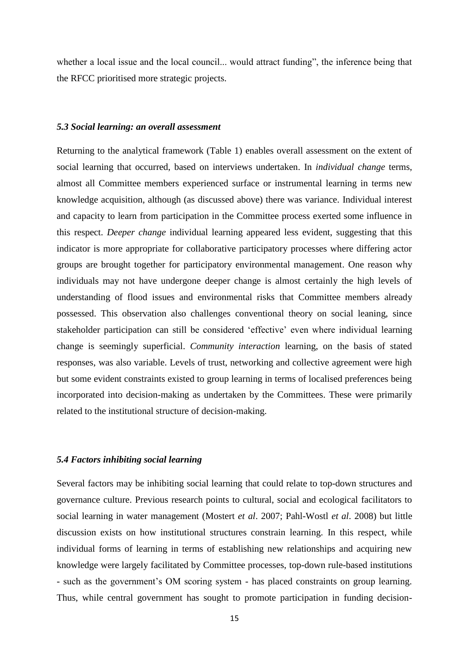whether a local issue and the local council... would attract funding", the inference being that the RFCC prioritised more strategic projects.

#### *5.3 Social learning: an overall assessment*

Returning to the analytical framework (Table 1) enables overall assessment on the extent of social learning that occurred, based on interviews undertaken. In *individual change* terms, almost all Committee members experienced surface or instrumental learning in terms new knowledge acquisition, although (as discussed above) there was variance. Individual interest and capacity to learn from participation in the Committee process exerted some influence in this respect. *Deeper change* individual learning appeared less evident, suggesting that this indicator is more appropriate for collaborative participatory processes where differing actor groups are brought together for participatory environmental management. One reason why individuals may not have undergone deeper change is almost certainly the high levels of understanding of flood issues and environmental risks that Committee members already possessed. This observation also challenges conventional theory on social leaning, since stakeholder participation can still be considered 'effective' even where individual learning change is seemingly superficial. *Community interaction* learning, on the basis of stated responses, was also variable. Levels of trust, networking and collective agreement were high but some evident constraints existed to group learning in terms of localised preferences being incorporated into decision-making as undertaken by the Committees. These were primarily related to the institutional structure of decision-making.

#### *5.4 Factors inhibiting social learning*

Several factors may be inhibiting social learning that could relate to top-down structures and governance culture. Previous research points to cultural, social and ecological facilitators to social learning in water management (Mostert *et al*. 2007; Pahl-Wostl *et al*. 2008) but little discussion exists on how institutional structures constrain learning. In this respect, while individual forms of learning in terms of establishing new relationships and acquiring new knowledge were largely facilitated by Committee processes, top-down rule-based institutions - such as the government's OM scoring system - has placed constraints on group learning. Thus, while central government has sought to promote participation in funding decision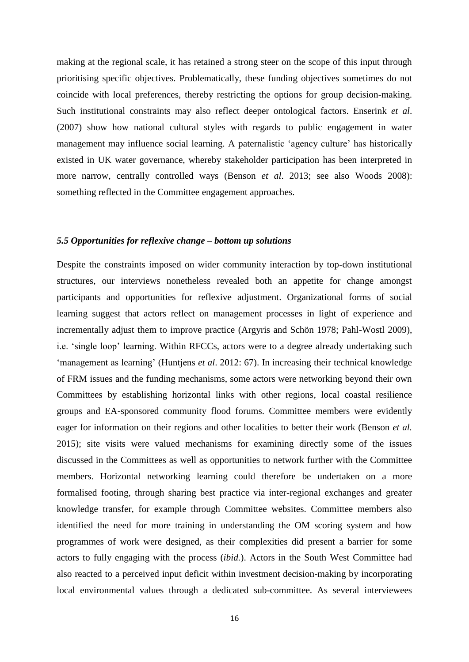making at the regional scale, it has retained a strong steer on the scope of this input through prioritising specific objectives. Problematically, these funding objectives sometimes do not coincide with local preferences, thereby restricting the options for group decision-making. Such institutional constraints may also reflect deeper ontological factors. Enserink *et al*. (2007) show how national cultural styles with regards to public engagement in water management may influence social learning. A paternalistic 'agency culture' has historically existed in UK water governance, whereby stakeholder participation has been interpreted in more narrow, centrally controlled ways (Benson *et al*. 2013; see also Woods 2008): something reflected in the Committee engagement approaches.

#### *5.5 Opportunities for reflexive change – bottom up solutions*

Despite the constraints imposed on wider community interaction by top-down institutional structures, our interviews nonetheless revealed both an appetite for change amongst participants and opportunities for reflexive adjustment. Organizational forms of social learning suggest that actors reflect on management processes in light of experience and incrementally adjust them to improve practice (Argyris and Schön 1978; Pahl-Wostl 2009), i.e. 'single loop' learning. Within RFCCs, actors were to a degree already undertaking such 'management as learning' (Huntjens *et al*. 2012: 67). In increasing their technical knowledge of FRM issues and the funding mechanisms, some actors were networking beyond their own Committees by establishing horizontal links with other regions, local coastal resilience groups and EA-sponsored community flood forums. Committee members were evidently eager for information on their regions and other localities to better their work (Benson *et al.* 2015); site visits were valued mechanisms for examining directly some of the issues discussed in the Committees as well as opportunities to network further with the Committee members. Horizontal networking learning could therefore be undertaken on a more formalised footing, through sharing best practice via inter-regional exchanges and greater knowledge transfer, for example through Committee websites. Committee members also identified the need for more training in understanding the OM scoring system and how programmes of work were designed, as their complexities did present a barrier for some actors to fully engaging with the process (*ibid.*). Actors in the South West Committee had also reacted to a perceived input deficit within investment decision-making by incorporating local environmental values through a dedicated sub-committee. As several interviewees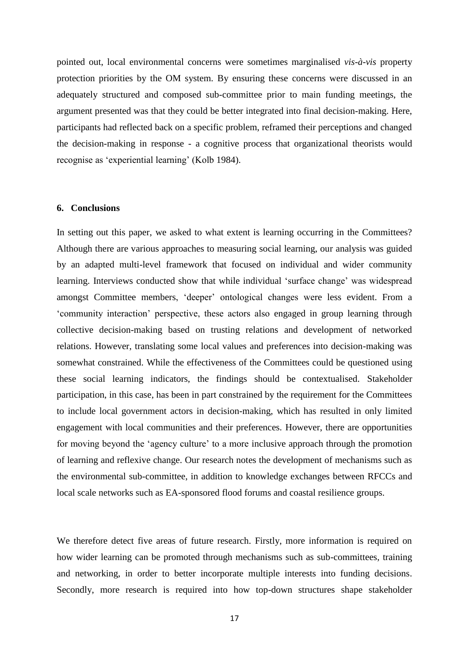pointed out, local environmental concerns were sometimes marginalised *vis-à-vis* property protection priorities by the OM system. By ensuring these concerns were discussed in an adequately structured and composed sub-committee prior to main funding meetings, the argument presented was that they could be better integrated into final decision-making. Here, participants had reflected back on a specific problem, reframed their perceptions and changed the decision-making in response - a cognitive process that organizational theorists would recognise as 'experiential learning' (Kolb 1984).

#### **6. Conclusions**

In setting out this paper, we asked to what extent is learning occurring in the Committees? Although there are various approaches to measuring social learning, our analysis was guided by an adapted multi-level framework that focused on individual and wider community learning. Interviews conducted show that while individual 'surface change' was widespread amongst Committee members, 'deeper' ontological changes were less evident. From a 'community interaction' perspective, these actors also engaged in group learning through collective decision-making based on trusting relations and development of networked relations. However, translating some local values and preferences into decision-making was somewhat constrained. While the effectiveness of the Committees could be questioned using these social learning indicators, the findings should be contextualised. Stakeholder participation, in this case, has been in part constrained by the requirement for the Committees to include local government actors in decision-making, which has resulted in only limited engagement with local communities and their preferences. However, there are opportunities for moving beyond the 'agency culture' to a more inclusive approach through the promotion of learning and reflexive change. Our research notes the development of mechanisms such as the environmental sub-committee, in addition to knowledge exchanges between RFCCs and local scale networks such as EA-sponsored flood forums and coastal resilience groups.

We therefore detect five areas of future research. Firstly, more information is required on how wider learning can be promoted through mechanisms such as sub-committees, training and networking, in order to better incorporate multiple interests into funding decisions. Secondly, more research is required into how top-down structures shape stakeholder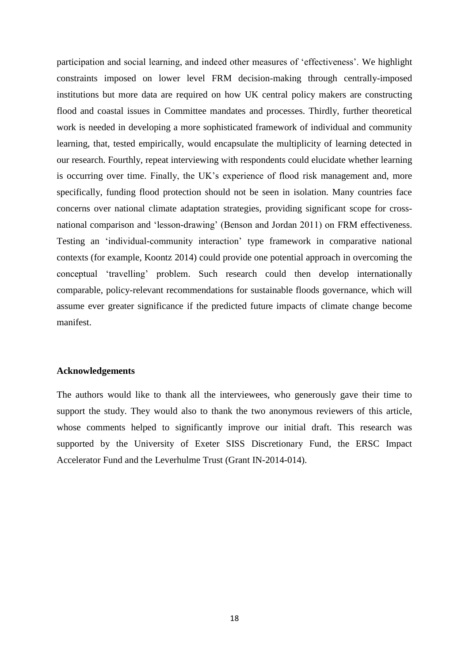participation and social learning, and indeed other measures of 'effectiveness'. We highlight constraints imposed on lower level FRM decision-making through centrally-imposed institutions but more data are required on how UK central policy makers are constructing flood and coastal issues in Committee mandates and processes. Thirdly, further theoretical work is needed in developing a more sophisticated framework of individual and community learning, that, tested empirically, would encapsulate the multiplicity of learning detected in our research. Fourthly, repeat interviewing with respondents could elucidate whether learning is occurring over time. Finally, the UK's experience of flood risk management and, more specifically, funding flood protection should not be seen in isolation. Many countries face concerns over national climate adaptation strategies, providing significant scope for crossnational comparison and 'lesson-drawing' (Benson and Jordan 2011) on FRM effectiveness. Testing an 'individual-community interaction' type framework in comparative national contexts (for example, Koontz 2014) could provide one potential approach in overcoming the conceptual 'travelling' problem. Such research could then develop internationally comparable, policy-relevant recommendations for sustainable floods governance, which will assume ever greater significance if the predicted future impacts of climate change become manifest.

#### **Acknowledgements**

The authors would like to thank all the interviewees, who generously gave their time to support the study. They would also to thank the two anonymous reviewers of this article, whose comments helped to significantly improve our initial draft. This research was supported by the University of Exeter SISS Discretionary Fund, the ERSC Impact Accelerator Fund and the Leverhulme Trust (Grant IN-2014-014).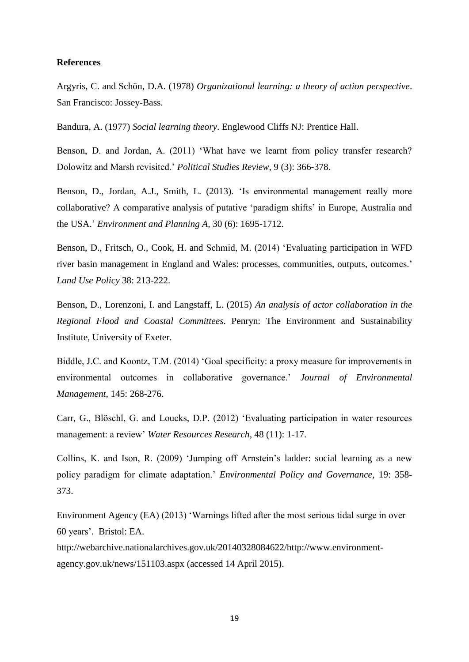#### **References**

Argyris, C. and Schön, D.A. (1978) *Organizational learning: a theory of action perspective*. San Francisco: Jossey-Bass.

Bandura, A. (1977) *Social learning theory*. Englewood Cliffs NJ: Prentice Hall.

Benson, D. and Jordan, A. (2011) 'What have we learnt from policy transfer research? Dolowitz and Marsh revisited.' *Political Studies Review*, 9 (3): 366-378.

Benson, D., Jordan, A.J., Smith, L. (2013). 'Is environmental management really more collaborative? A comparative analysis of putative 'paradigm shifts' in Europe, Australia and the USA.' *Environment and Planning A,* 30 (6): 1695-1712.

Benson, D., Fritsch, O., Cook, H. and Schmid, M. (2014) 'Evaluating participation in WFD river basin management in England and Wales: processes, communities, outputs, outcomes.' *Land Use Policy* 38: 213-222.

Benson, D., Lorenzoni, I. and Langstaff, L. (2015) *An analysis of actor collaboration in the Regional Flood and Coastal Committees*. Penryn: The Environment and Sustainability Institute, University of Exeter.

Biddle, J.C. and Koontz, T.M. (2014) 'Goal specificity: a proxy measure for improvements in environmental outcomes in collaborative governance.' *Journal of Environmental Management*, 145: 268-276.

Carr, G., Blöschl, G. and Loucks, D.P. (2012) 'Evaluating participation in water resources management: a review' *Water Resources Research*, 48 (11): 1-17.

Collins, K. and Ison, R. (2009) 'Jumping off Arnstein's ladder: social learning as a new policy paradigm for climate adaptation.' *Environmental Policy and Governance*, 19: 358- 373.

Environment Agency (EA) (2013) 'Warnings lifted after the most serious tidal surge in over 60 years'. Bristol: EA.

[http://webarchive.nationalarchives.gov.uk/20140328084622/http://www.environment](http://webarchive.nationalarchives.gov.uk/20140328084622/http:/www.environment-agency.gov.uk/news/151103.aspx)[agency.gov.uk/news/151103.aspx](http://webarchive.nationalarchives.gov.uk/20140328084622/http:/www.environment-agency.gov.uk/news/151103.aspx) (accessed 14 April 2015).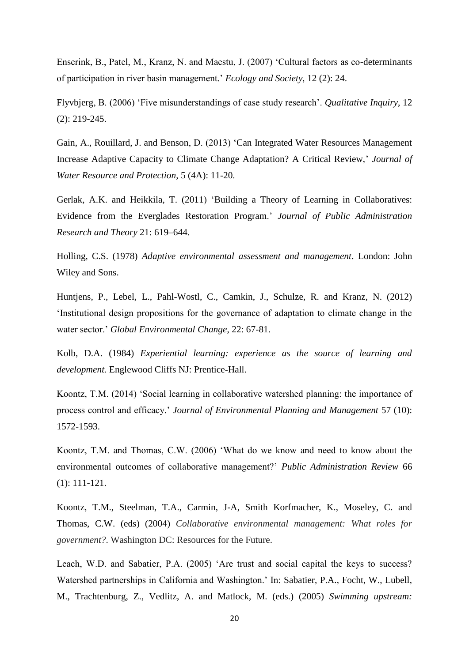Enserink, B., Patel, M., Kranz, N. and Maestu, J. (2007) 'Cultural factors as co-determinants of participation in river basin management.' *Ecology and Society*, 12 (2): 24.

Flyvbjerg, B. (2006) 'Five misunderstandings of case study research'. *Qualitative Inquiry*, 12 (2): 219-245.

Gain, A., Rouillard, J. and Benson, D. (2013) 'Can Integrated Water Resources Management Increase Adaptive Capacity to Climate Change Adaptation? A Critical Review,' *Journal of Water Resource and Protection*, 5 (4A): 11-20.

Gerlak, A.K. and Heikkila, T. (2011) 'Building a Theory of Learning in Collaboratives: Evidence from the Everglades Restoration Program.' *Journal of Public Administration Research and Theory* 21: 619–644.

Holling, C.S. (1978) *Adaptive environmental assessment and management*. London: John Wiley and Sons.

Huntjens, P., Lebel, L., Pahl-Wostl, C., Camkin, J., Schulze, R. and Kranz, N. (2012) 'Institutional design propositions for the governance of adaptation to climate change in the water sector.' *Global Environmental Change*, 22: 67-81.

Kolb, D.A. (1984) *Experiential learning: experience as the source of learning and development.* Englewood Cliffs NJ: Prentice-Hall.

Koontz, T.M. (2014) 'Social learning in collaborative watershed planning: the importance of process control and efficacy.' *Journal of Environmental Planning and Management* 57 (10): 1572-1593.

Koontz, T.M. and Thomas, C.W. (2006) 'What do we know and need to know about the environmental outcomes of collaborative management?' *Public Administration Review* 66 (1): 111-121.

Koontz, T.M., Steelman, T.A., Carmin, J-A, Smith Korfmacher, K., Moseley, C. and Thomas, C.W. (eds) (2004) *Collaborative environmental management: What roles for government?*. Washington DC: Resources for the Future.

Leach, W.D. and Sabatier, P.A. (2005) 'Are trust and social capital the keys to success? Watershed partnerships in California and Washington.' In: Sabatier, P.A., Focht, W., Lubell, M., Trachtenburg, Z., Vedlitz, A. and Matlock, M. (eds.) (2005) *Swimming upstream:*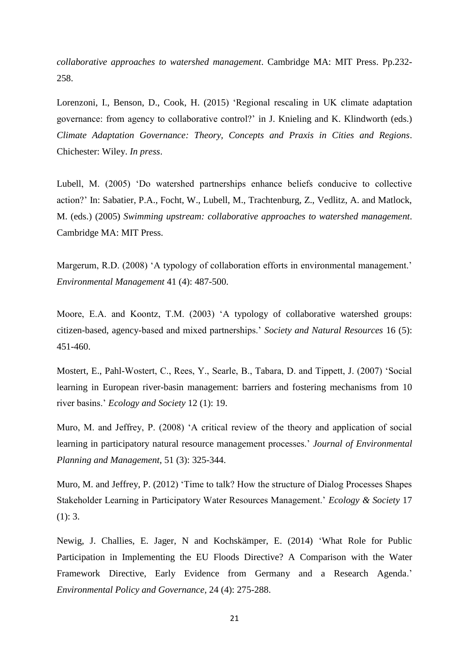*collaborative approaches to watershed management*. Cambridge MA: MIT Press. Pp.232- 258.

Lorenzoni, I., Benson, D., Cook, H. (2015) 'Regional rescaling in UK climate adaptation governance: from agency to collaborative control?' in J. Knieling and K. Klindworth (eds.) *Climate Adaptation Governance: Theory, Concepts and Praxis in Cities and Regions*. Chichester: Wiley. *In press*.

Lubell, M. (2005) 'Do watershed partnerships enhance beliefs conducive to collective action?' In: Sabatier, P.A., Focht, W., Lubell, M., Trachtenburg, Z., Vedlitz, A. and Matlock, M. (eds.) (2005) *Swimming upstream: collaborative approaches to watershed management*. Cambridge MA: MIT Press.

Margerum, R.D. (2008) 'A typology of collaboration efforts in environmental management.' *Environmental Management* 41 (4): 487-500.

Moore, E.A. and Koontz, T.M. (2003) 'A typology of collaborative watershed groups: citizen-based, agency-based and mixed partnerships.' *Society and Natural Resources* 16 (5): 451-460.

Mostert, E., Pahl-Wostert, C., Rees, Y., Searle, B., Tabara, D. and Tippett, J. (2007) 'Social learning in European river-basin management: barriers and fostering mechanisms from 10 river basins.' *Ecology and Society* 12 (1): 19.

Muro, M. and Jeffrey, P. (2008) 'A critical review of the theory and application of social learning in participatory natural resource management processes.' *Journal of Environmental Planning and Management*, 51 (3): 325-344.

Muro, M. and Jeffrey, P. (2012) 'Time to talk? How the structure of Dialog Processes Shapes Stakeholder Learning in Participatory Water Resources Management.' *Ecology & Society* 17 (1): 3.

Newig, J. Challies, E. Jager, N and Kochskämper, E. (2014) 'What Role for Public Participation in Implementing the EU Floods Directive? A Comparison with the Water Framework Directive, Early Evidence from Germany and a Research Agenda.' *Environmental Policy and Governance,* 24 (4): 275-288.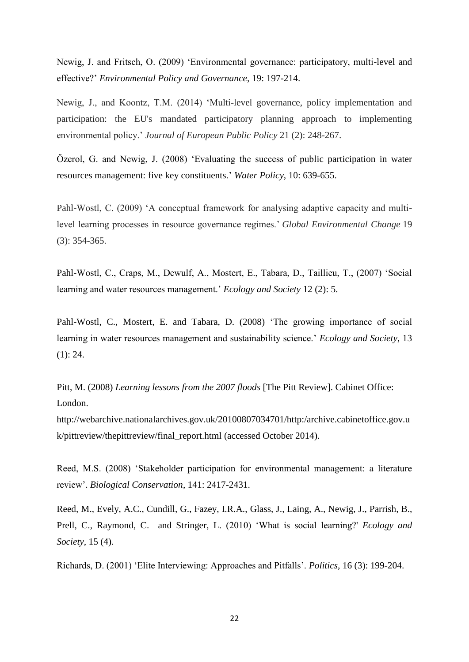Newig, J. and Fritsch, O. (2009) 'Environmental governance: participatory, multi-level and effective?' *Environmental Policy and Governance*, 19: 197-214.

Newig, J., and Koontz, T.M. (2014) 'Multi-level governance, policy implementation and participation: the EU's mandated participatory planning approach to implementing environmental policy.' *Journal of European Public Policy* 21 (2): 248-267.

Özerol, G. and Newig, J. (2008) 'Evaluating the success of public participation in water resources management: five key constituents.' *Water Policy*, 10: 639-655.

Pahl-Wostl, C. (2009) 'A conceptual framework for analysing adaptive capacity and multilevel learning processes in resource governance regimes.' *Global Environmental Change* 19 (3): 354-365.

Pahl-Wostl, C., Craps, M., Dewulf, A., Mostert, E., Tabara, D., Taillieu, T., (2007) 'Social learning and water resources management.' *Ecology and Society* 12 (2): 5.

Pahl-Wostl, C., Mostert, E. and Tabara, D. (2008) 'The growing importance of social learning in water resources management and sustainability science.' *Ecology and Society*, 13  $(1): 24.$ 

Pitt, M. (2008) *Learning lessons from the 2007 floods* [The Pitt Review]. Cabinet Office: London.

[http://webarchive.nationalarchives.gov.uk/20100807034701/http:/archive.cabinetoffice.gov.u](http://webarchive.nationalarchives.gov.uk/20100807034701/http:/archive.cabinetoffice.gov.uk/pittreview/thepittreview/final_report.html) [k/pittreview/thepittreview/final\\_report.html](http://webarchive.nationalarchives.gov.uk/20100807034701/http:/archive.cabinetoffice.gov.uk/pittreview/thepittreview/final_report.html) (accessed October 2014).

Reed, M.S. (2008) 'Stakeholder participation for environmental management: a literature review'. *Biological Conservation*, 141: 2417-2431.

Reed, M., Evely, A.C., Cundill, G., Fazey, I.R.A., Glass, J., Laing, A., Newig, J., Parrish, B., Prell, C., Raymond, C. and Stringer, L. (2010) 'What is social learning?' *Ecology and Society*, 15 (4).

Richards, D. (2001) 'Elite Interviewing: Approaches and Pitfalls'. *Politics,* 16 (3): 199-204.